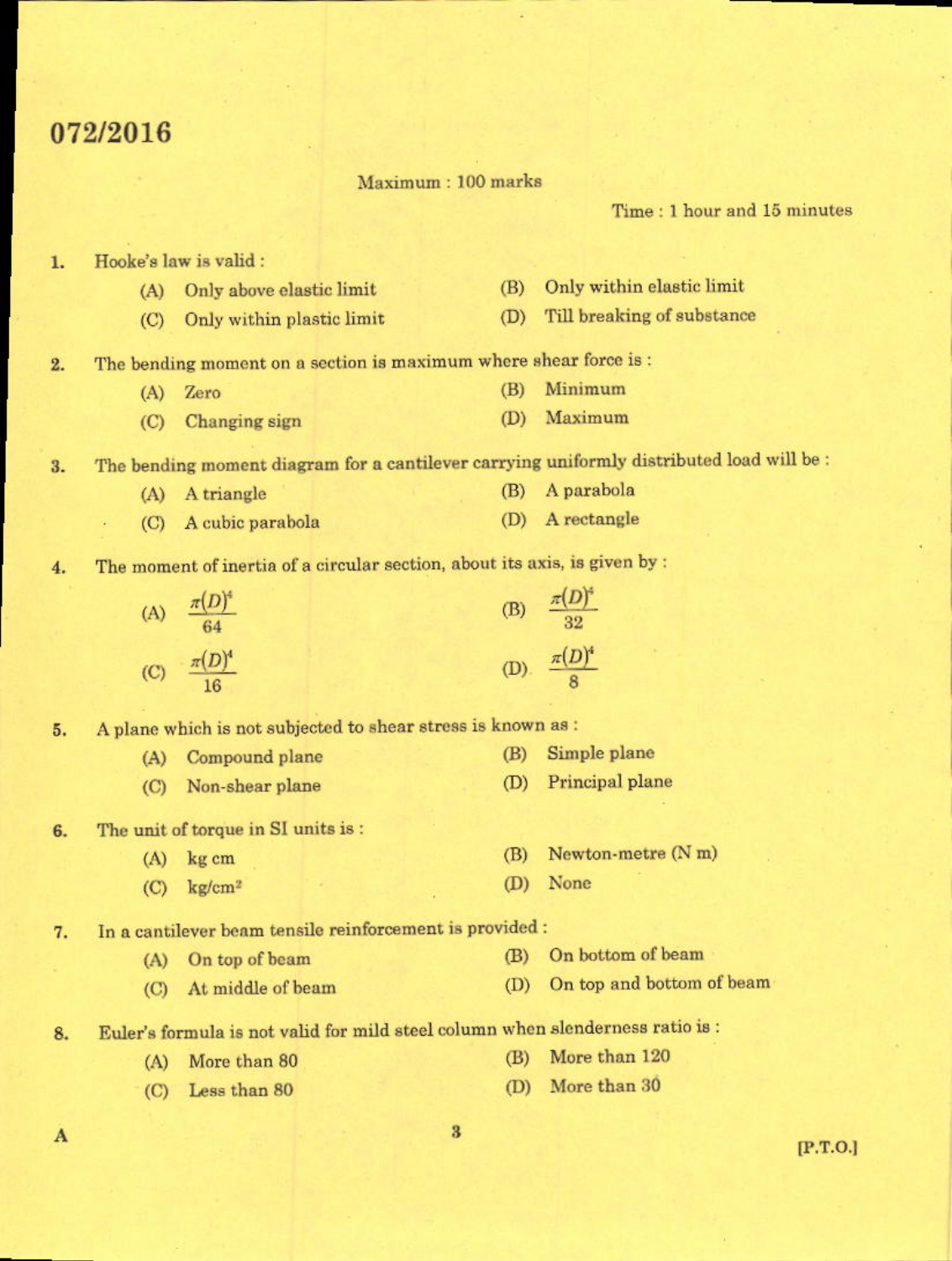# 072/2016

Maximum: 100 marks

Time: 1 hour and 15 minutes

#### Hooke's law is valid : 1.

- (B) Only within elastic limit (A) Only above elastic limit
- (D) Till breaking of substance (C) Only within plastic limit
- The bending moment on a section is maximum where shear force is :  $2.$ 
	- Minimum  $(B)$ (A) Zero
	- (D) Maximum  $(C)$ Changing sign

The bending moment diagram for a cantilever carrying uniformly distributed load will be :  $3.$ 

- (B) A parabola (A) A triangle
- (D) A rectangle (C) A cubic parabola
- The moment of inertia of a circular section, about its axis, is given by : 4.

| $\overline{A}$ | $\pi(D)^4$<br>64       | (B) | $\frac{\pi(D)^4}{32}$     |
|----------------|------------------------|-----|---------------------------|
| $\overline{C}$ | $-\frac{\pi(D)^4}{16}$ |     | (D). $\frac{\pi(D)^4}{8}$ |

A plane which is not subjected to shear stress is known as : 5.

- (B) Simple plane (A) Compound plane (D) Principal plane (C) Non-shear plane
- The unit of torque in SI units is : 6.
	- $(A)$  kg cm
		- (D) None  $(C)$  kg/cm<sup>2</sup>

In a cantilever beam tensile reinforcement is provided : 7.

- (B) On bottom of beam (A) On top of beam
- (D) On top and bottom of beam (C) At middle of beam

(B)

Newton-metre  $(N m)$ 

- Euler's formula is not valid for mild steel column when slenderness ratio is : 8.
	- (B) More than 120 (A) More than 80
	- (D) More than 30 (C) Less than 80

 $[P.T.O.]$ 

 $\mathbf{A}$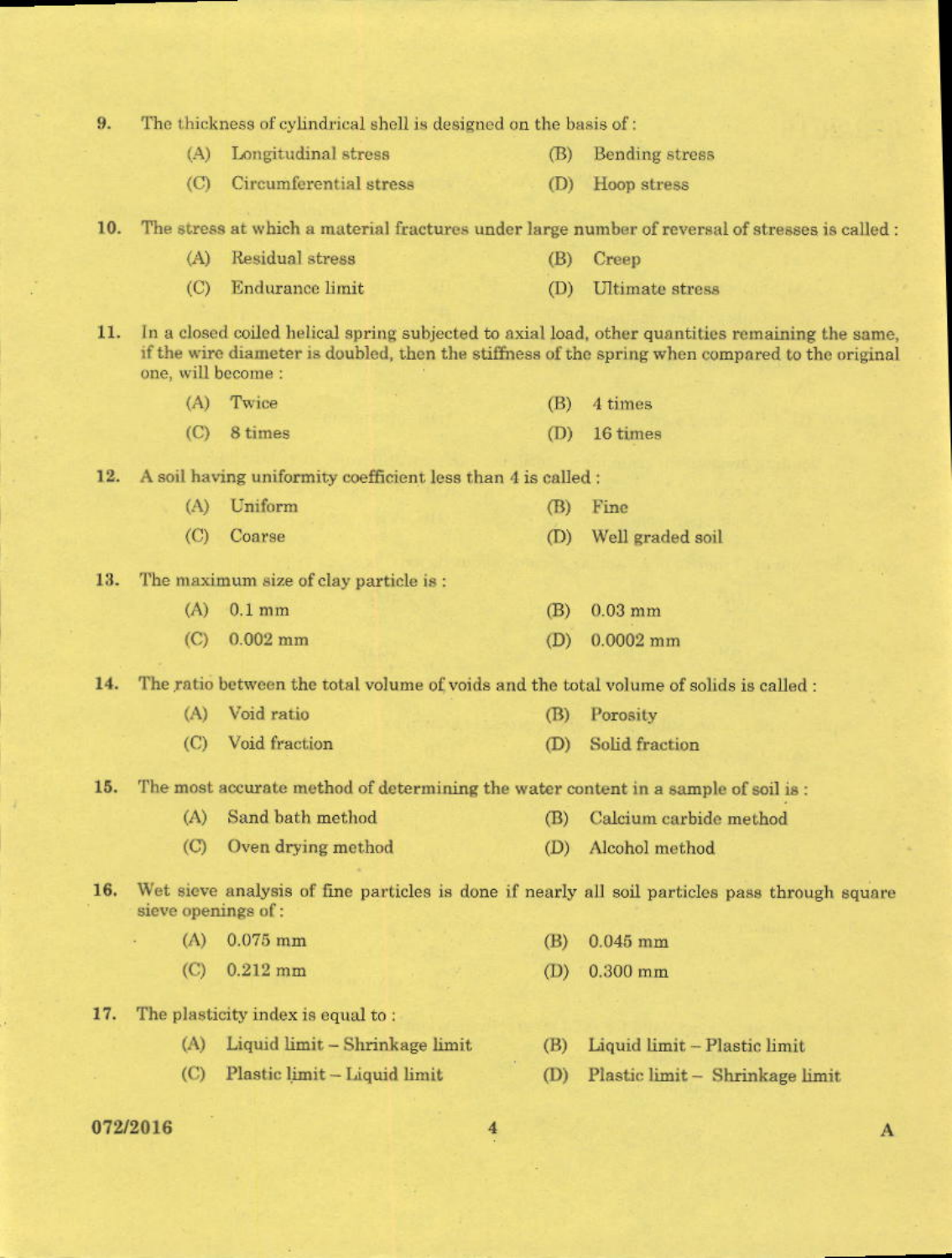| 9.       | The thickness of cylindrical shell is designed on the basis of:                                                      |                                                                                   |     |                                                                                                                                                                                                    |
|----------|----------------------------------------------------------------------------------------------------------------------|-----------------------------------------------------------------------------------|-----|----------------------------------------------------------------------------------------------------------------------------------------------------------------------------------------------------|
|          | (A)                                                                                                                  | Longitudinal stress                                                               | (B) | Bending stress                                                                                                                                                                                     |
|          | (C)                                                                                                                  | Circumferential stress                                                            | (D) | Hoop stress                                                                                                                                                                                        |
| 10.      |                                                                                                                      |                                                                                   |     | The stress at which a material fractures under large number of reversal of stresses is called :                                                                                                    |
|          | (A)                                                                                                                  | Residual stress                                                                   | (B) | Creep                                                                                                                                                                                              |
|          | (C)                                                                                                                  | Endurance limit                                                                   | (D) | <b>Ultimate</b> stress                                                                                                                                                                             |
| 11.      | one, will become :                                                                                                   |                                                                                   |     | In a closed coiled helical spring subjected to axial load, other quantities remaining the same,<br>if the wire diameter is doubled, then the stiffness of the spring when compared to the original |
|          | (A)                                                                                                                  | Twice                                                                             | (B) | 4 times                                                                                                                                                                                            |
|          | (C)                                                                                                                  | 8 times                                                                           | (D) | 16 times                                                                                                                                                                                           |
| 12.      |                                                                                                                      | A soil having uniformity coefficient less than 4 is called :                      |     |                                                                                                                                                                                                    |
|          | (A)                                                                                                                  | Uniform                                                                           | (B) | Fine                                                                                                                                                                                               |
|          | $\left($ C)                                                                                                          | Coarse                                                                            | (D) | Well graded soil                                                                                                                                                                                   |
| 13.      |                                                                                                                      | The maximum size of clay particle is:                                             |     |                                                                                                                                                                                                    |
|          | (A)                                                                                                                  | $0.1$ mm                                                                          | (B) | $0.03$ mm                                                                                                                                                                                          |
|          | (C)                                                                                                                  | $0.002$ mm                                                                        | (D) | $0.0002$ mm                                                                                                                                                                                        |
| 14.      | The ratio between the total volume of voids and the total volume of solids is called:                                |                                                                                   |     |                                                                                                                                                                                                    |
|          | (A)                                                                                                                  | Void ratio                                                                        | (B) | Porosity                                                                                                                                                                                           |
|          | (C)                                                                                                                  | Void fraction                                                                     | (D) | Solid fraction                                                                                                                                                                                     |
| 15.      |                                                                                                                      | The most accurate method of determining the water content in a sample of soil is: |     |                                                                                                                                                                                                    |
|          |                                                                                                                      | (A) Sand bath method (B) Calcium carbide method                                   |     |                                                                                                                                                                                                    |
|          | (C)                                                                                                                  | Oven drying method                                                                | (D) | Alcohol method                                                                                                                                                                                     |
| 16.      | Wet sieve analysis of fine particles is done if nearly all soil particles pass through square<br>sieve openings of : |                                                                                   |     |                                                                                                                                                                                                    |
|          | (A)                                                                                                                  | $0.075$ mm                                                                        | (B) | $0.045$ mm                                                                                                                                                                                         |
|          | (C)                                                                                                                  | $0.212$ mm                                                                        | (D) | $0.300$ mm                                                                                                                                                                                         |
| 17.      |                                                                                                                      | The plasticity index is equal to:                                                 |     |                                                                                                                                                                                                    |
|          | (A)                                                                                                                  | Liquid limit - Shrinkage limit                                                    | (B) | Liquid limit - Plastic limit                                                                                                                                                                       |
|          | (C)                                                                                                                  | Plastic limit - Liquid limit                                                      | (D) | Plastic limit - Shrinkage limit                                                                                                                                                                    |
| 0.701001 |                                                                                                                      |                                                                                   |     |                                                                                                                                                                                                    |

### 072/2016

 $\frac{4}{1}$ 

 $\mathbf{A}$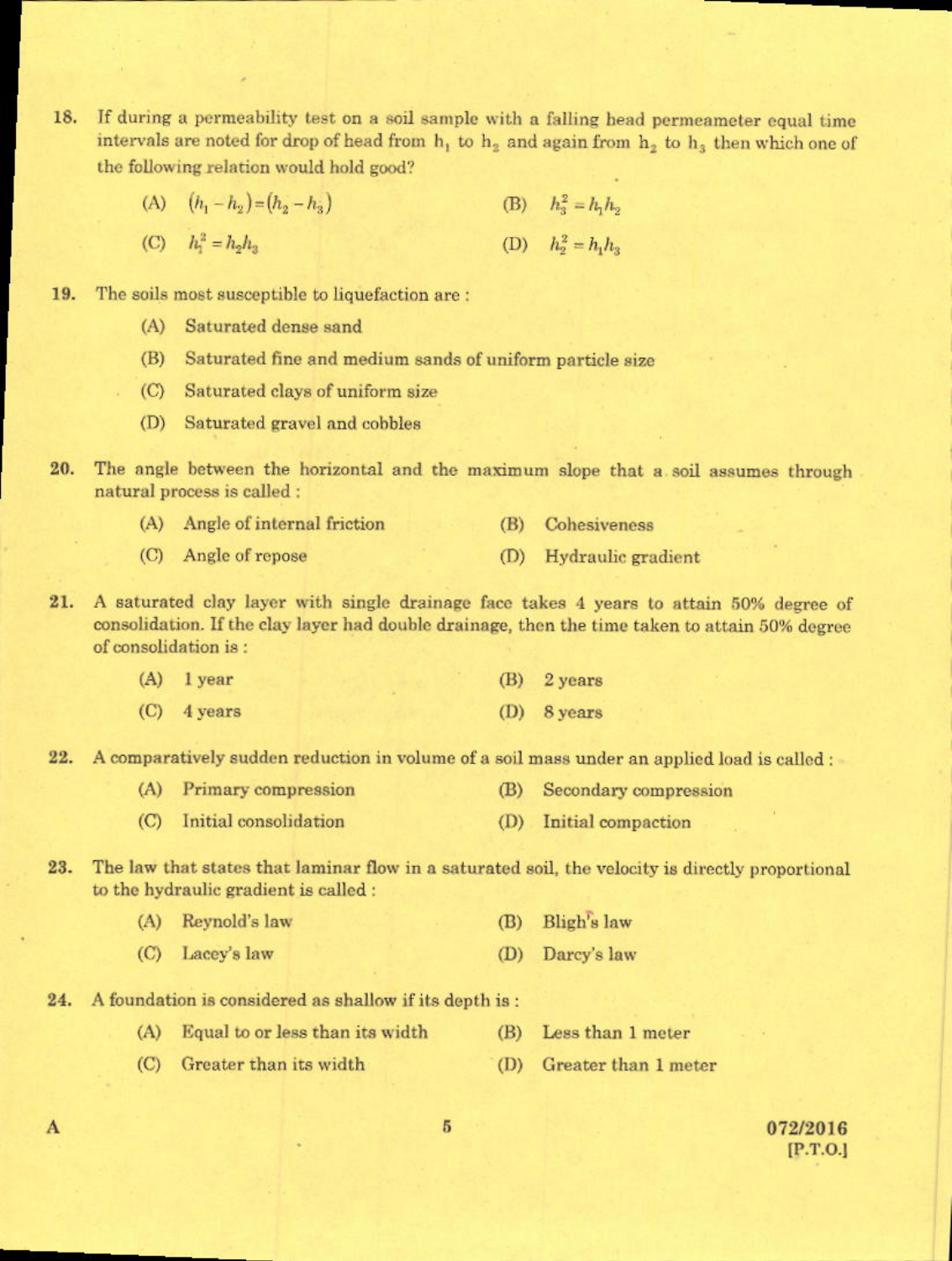- 18. If during a permeability test on a soil sample with a falling head permeameter equal time intervals are noted for drop of head from  $h_1$  to  $h_2$  and again from  $h_2$  to  $h_3$  then which one of the following relation would hold good?
	- (A)  $(h_1 h_2) = (h_2 h_3)$ (B)  $h_3^2 = h_1 h_2$
	- (D)  $h_2^2 = h_1 h_3$ (C)  $h_1^2 = h_2 h_2$
- 19. The soils most susceptible to liquefaction are:
	- (A) Saturated dense sand
	- (B) Saturated fine and medium sands of uniform particle size
	- (C) Saturated clays of uniform size
	- (D) Saturated gravel and cobbles
- 20. The angle between the horizontal and the maximum slope that a soil assumes through natural process is called :

|  |  | (A) Angle of internal friction | (B) Cohesiveness |
|--|--|--------------------------------|------------------|
|--|--|--------------------------------|------------------|

- (C) Angle of repose (D) Hydraulic gradient
- A saturated clay layer with single drainage face takes 4 years to attain 50% degree of 21. consolidation. If the clay layer had double drainage, then the time taken to attain 50% degree of consolidation is:

| $(A)$ lyear   | $(B)$ 2 years |
|---------------|---------------|
| $(C)$ 4 years | $(D)$ 8 years |

22. A comparatively sudden reduction in volume of a soil mass under an applied load is called :

- (A) Primary compression (B) Secondary compression
- (C) Initial consolidation (D) Initial compaction
- 23. The law that states that laminar flow in a saturated soil, the velocity is directly proportional to the hydraulic gradient is called :

| (A) Reynold's law | (B) Bligh's law |
|-------------------|-----------------|
| (C) Lacey's law   | (D) Darcy's law |

 $24.$ A foundation is considered as shallow if its depth is:

(C) Greater than its width

- (A) Equal to or less than its width (B) Less than 1 meter
	- (D) Greater than 1 meter

A

5

072/2016  $[P.T.O.]$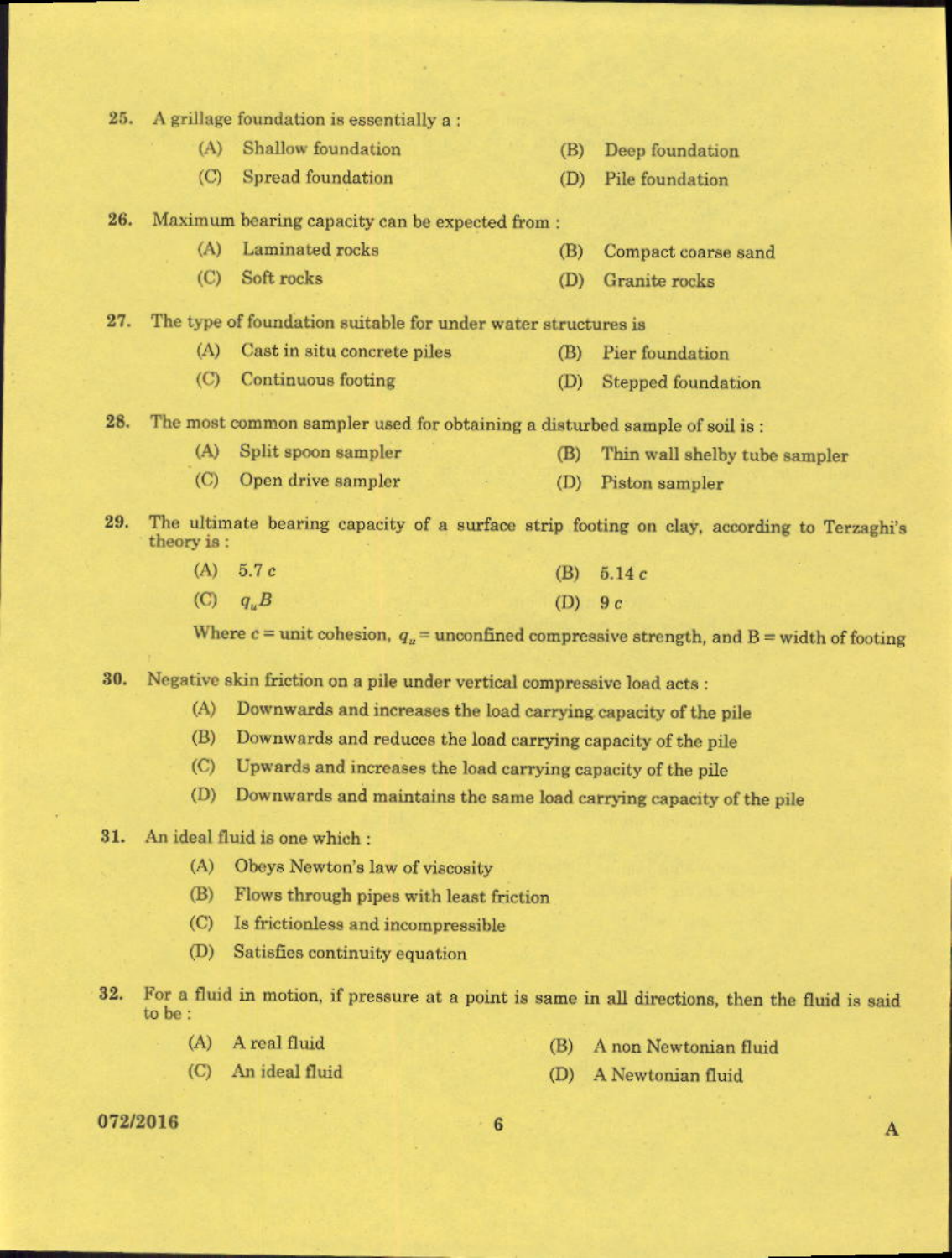$25.$ A grillage foundation is essentially a: (A) Shallow foundation Deep foundation (B) (C) Spread foundation (D) Pile foundation Maximum bearing capacity can be expected from: 26. Laminated rocks  $(A)$ (B) Compact coarse sand (C) Soft rocks (D) Granite rocks 27. The type of foundation suitable for under water structures is (A) Cast in situ concrete piles (B) Pier foundation (C) Continuous footing (D) Stepped foundation 28. The most common sampler used for obtaining a disturbed sample of soil is : (A) Split spoon sampler (B) Thin wall shelby tube sampler  $(C)$ Open drive sampler (D) Piston sampler 29. The ultimate bearing capacity of a surface strip footing on clay, according to Terzaghi's theory is:  $(A) 5.7c$  $(B) 5.14c$  $(C)$  $q_u B$ 

Where  $c =$  unit cohesion,  $q_u$  = unconfined compressive strength, and B = width of footing

 $(D)$  9  $c$ 

Negative skin friction on a pile under vertical compressive load acts : 30.

- (A) Downwards and increases the load carrying capacity of the pile
- Downwards and reduces the load carrying capacity of the pile (B)
- Upwards and increases the load carrying capacity of the pile  $(C)$
- (D) Downwards and maintains the same load carrying capacity of the pile

# 31. An ideal fluid is one which :

- (A) Obeys Newton's law of viscosity
- (B) Flows through pipes with least friction
- Is frictionless and incompressible  $(C)$
- $(D)$ Satisfies continuity equation
- For a fluid in motion, if pressure at a point is same in all directions, then the fluid is said  $32.$ to be:
	- (A) A real fluid

(B) A non Newtonian fluid

(D) A Newtonian fluid

 $(C)$ An ideal fluid

### 072/2016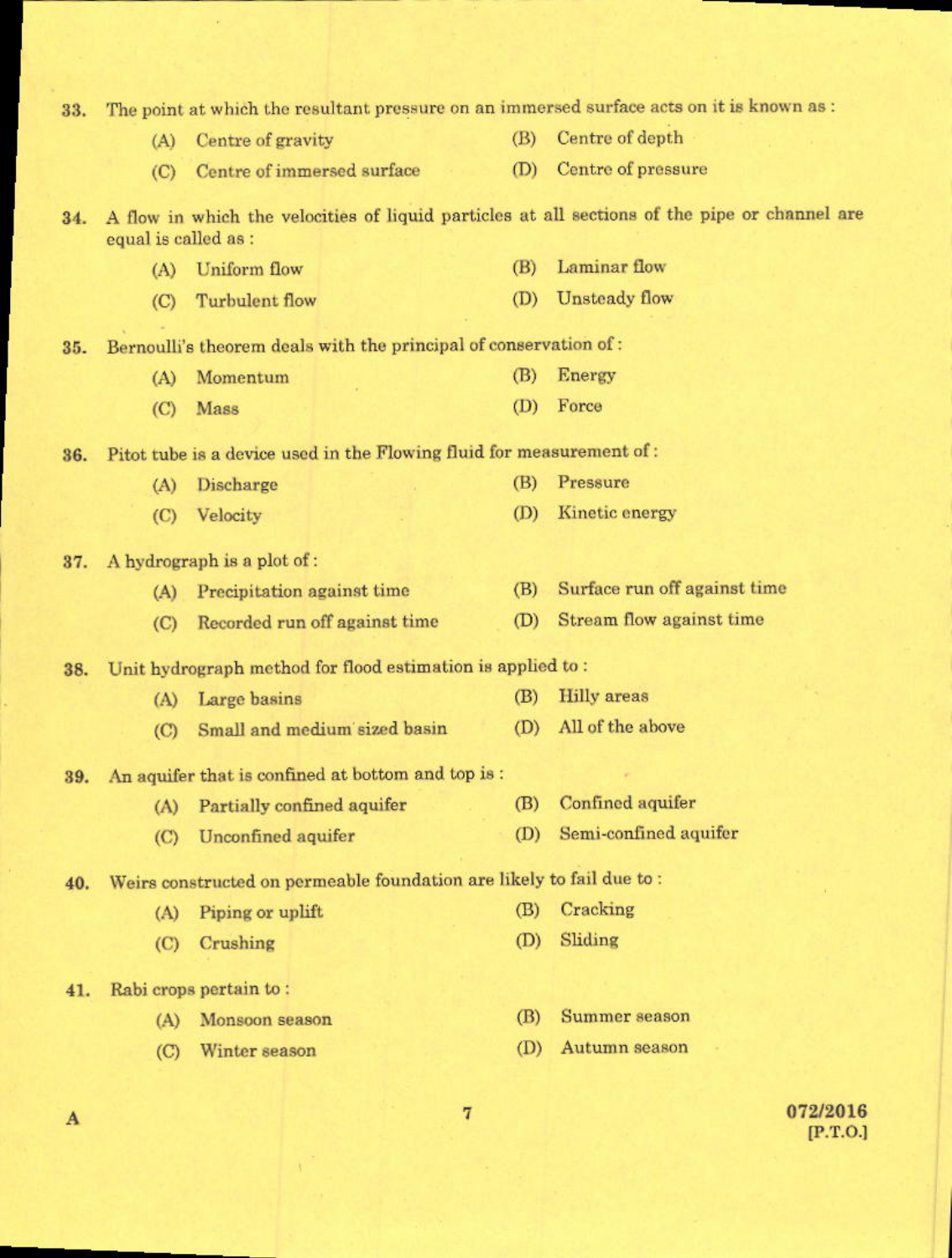| 33. | The point at which the resultant pressure on an immersed surface acts on it is known as : |                                                                       |     |                                                                                               |
|-----|-------------------------------------------------------------------------------------------|-----------------------------------------------------------------------|-----|-----------------------------------------------------------------------------------------------|
|     | (A)                                                                                       | Centre of gravity                                                     | (B) | Centre of depth                                                                               |
|     | (C)                                                                                       | Centre of immersed surface                                            | (D) | Centre of pressure                                                                            |
| 34. | equal is called as :                                                                      |                                                                       |     | A flow in which the velocities of liquid particles at all sections of the pipe or channel are |
|     | (A)                                                                                       | <b>Uniform</b> flow                                                   | (B) | Laminar flow                                                                                  |
|     | (C)                                                                                       | Turbulent flow                                                        | (D) | Unsteady flow                                                                                 |
| 35. |                                                                                           | Bernoulli's theorem deals with the principal of conservation of:      |     |                                                                                               |
|     | (A)                                                                                       | Momentum                                                              | (B) | Energy                                                                                        |
|     | (C)                                                                                       | Mass                                                                  | (D) | Force                                                                                         |
| 36. |                                                                                           | Pitot tube is a device used in the Flowing fluid for measurement of : |     |                                                                                               |
|     | (A)                                                                                       | Discharge                                                             | (B) | Pressure                                                                                      |
|     | (C)                                                                                       | Velocity                                                              | (D) | Kinetic energy                                                                                |
| 37. |                                                                                           | A hydrograph is a plot of:                                            |     |                                                                                               |
|     | (A)                                                                                       | Precipitation against time                                            | (B) | Surface run off against time                                                                  |
|     | (C)                                                                                       | Recorded run off against time                                         | (D) | Stream flow against time                                                                      |
| 38. |                                                                                           | Unit hydrograph method for flood estimation is applied to:            |     |                                                                                               |
|     | (A)                                                                                       | Large basins                                                          | (B) | <b>Hilly</b> areas                                                                            |
|     | (C)                                                                                       | Small and medium sized basin                                          | (D) | All of the above                                                                              |
| 39. |                                                                                           | An aquifer that is confined at bottom and top is:                     |     |                                                                                               |
|     |                                                                                           | (A) Partially confined aquifer                                        | (B) | Confined aquifer                                                                              |
|     | (C)                                                                                       | Unconfined aquifer                                                    | (D) | Semi-confined aquifer                                                                         |
| 40. | Weirs constructed on permeable foundation are likely to fail due to:                      |                                                                       |     |                                                                                               |
|     | (A)                                                                                       | Piping or uplift                                                      | (B) | Cracking                                                                                      |
|     | (C)                                                                                       | Crushing                                                              | (D) | Sliding                                                                                       |
| 41. |                                                                                           | Rabi crops pertain to:                                                |     |                                                                                               |
|     | (A)                                                                                       | Monsoon season                                                        | (B) | Summer season                                                                                 |
|     | $\left($ C                                                                                | Winter season                                                         | (D) | Autumn season                                                                                 |
|     |                                                                                           |                                                                       |     |                                                                                               |

 $\overline{\mathbf{A}}$ 

 $072/2016$ <br>[P.T.O.]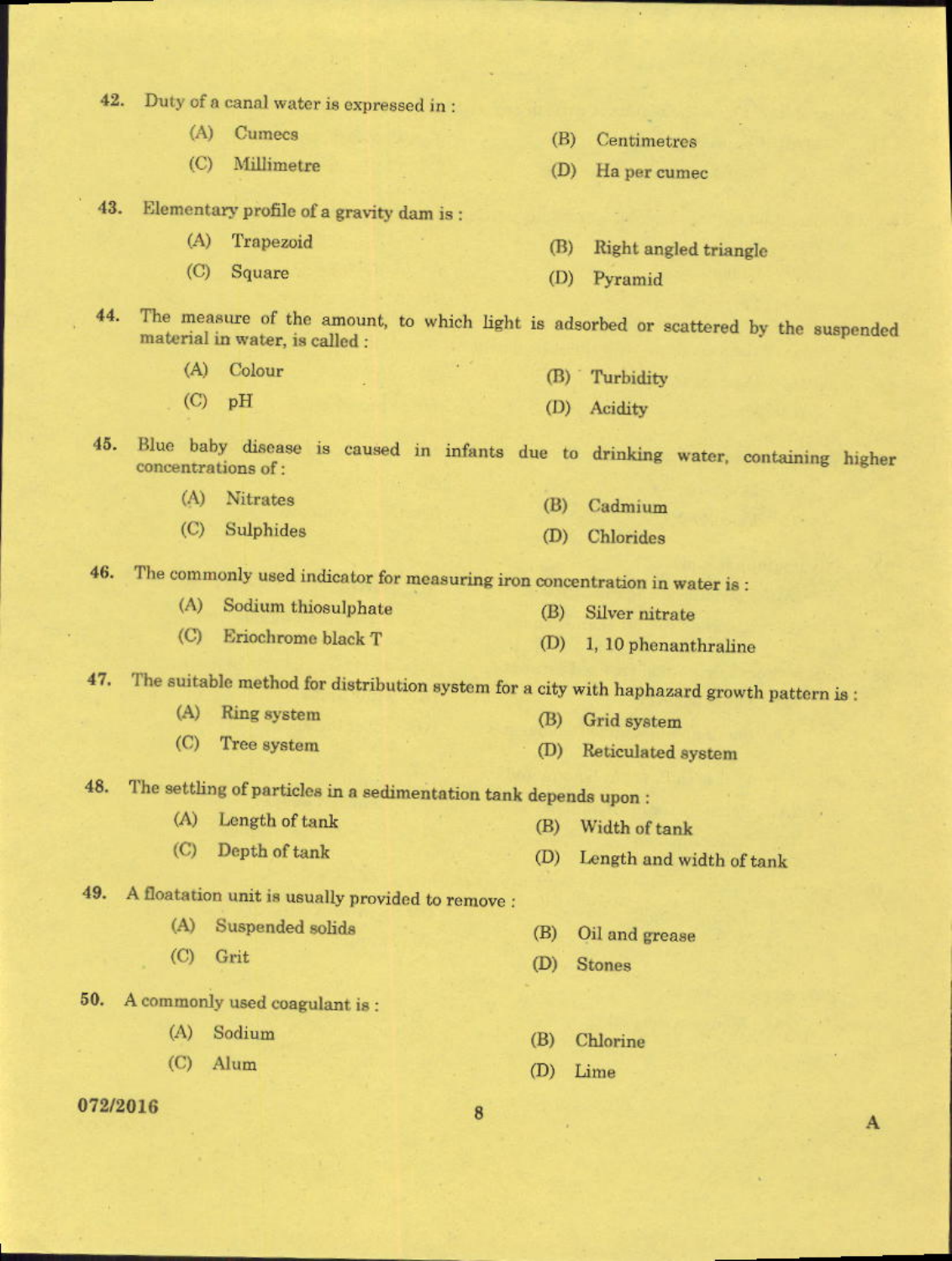| 42.      |             | Duty of a canal water is expressed in:                                     |            |                                                                                           |
|----------|-------------|----------------------------------------------------------------------------|------------|-------------------------------------------------------------------------------------------|
|          | (A)         | Cumecs                                                                     | (B)        | Centimetres                                                                               |
|          | (C)         | Millimetre                                                                 | (D)        | Ha per cumec                                                                              |
| 43.      |             | Elementary profile of a gravity dam is:                                    |            |                                                                                           |
|          | (A)         | Trapezoid                                                                  | (B)        | Right angled triangle                                                                     |
|          | (C)         | Square                                                                     | (D)        | Pyramid                                                                                   |
| 44.      |             | material in water, is called :                                             |            | The measure of the amount, to which light is adsorbed or scattered by the suspended       |
|          | (A)         | Colour                                                                     | (B)        | Turbidity                                                                                 |
|          | $\circ$     | pH                                                                         | (D)        | Acidity                                                                                   |
| 45.      |             | concentrations of:                                                         |            | Blue baby disease is caused in infants due to drinking water, containing higher           |
|          | (A)         | Nitrates                                                                   | (B)        | Cadmium                                                                                   |
|          | (C)         | Sulphides                                                                  | (D)        | Chlorides                                                                                 |
| 46.      |             | The commonly used indicator for measuring iron concentration in water is : |            |                                                                                           |
|          | (A)         | Sodium thiosulphate                                                        | (B)        | Silver nitrate                                                                            |
|          | (C)         | Eriochrome black T                                                         | (D)        | 1, 10 phenanthraline                                                                      |
| 47.      |             |                                                                            |            | The suitable method for distribution system for a city with haphazard growth pattern is : |
|          | (A)         | Ring system                                                                | (B)        | Grid system                                                                               |
|          | (C)         | Tree system                                                                | (D)        | Reticulated system                                                                        |
|          |             | 48. The settling of particles in a sedimentation tank depends upon:        |            |                                                                                           |
|          | (A)         | Length of tank                                                             |            |                                                                                           |
|          | (C)         | Depth of tank                                                              | (B)<br>(D) | Width of tank<br>Length and width of tank                                                 |
|          |             |                                                                            |            |                                                                                           |
|          | (A)         | 49. A floatation unit is usually provided to remove :                      |            |                                                                                           |
|          | $\left($ C) | Suspended solids<br>Grit                                                   | (B)        | Oil and grease                                                                            |
|          |             |                                                                            | (D)        | <b>Stones</b>                                                                             |
| 50.      |             | A commonly used coagulant is:                                              |            |                                                                                           |
|          | (A)         | Sodium                                                                     | (B)        | Chlorine                                                                                  |
|          | (C)         | Alum                                                                       | (D)        | Lime                                                                                      |
| 079/9016 |             |                                                                            |            |                                                                                           |

8

 $\mathbf A$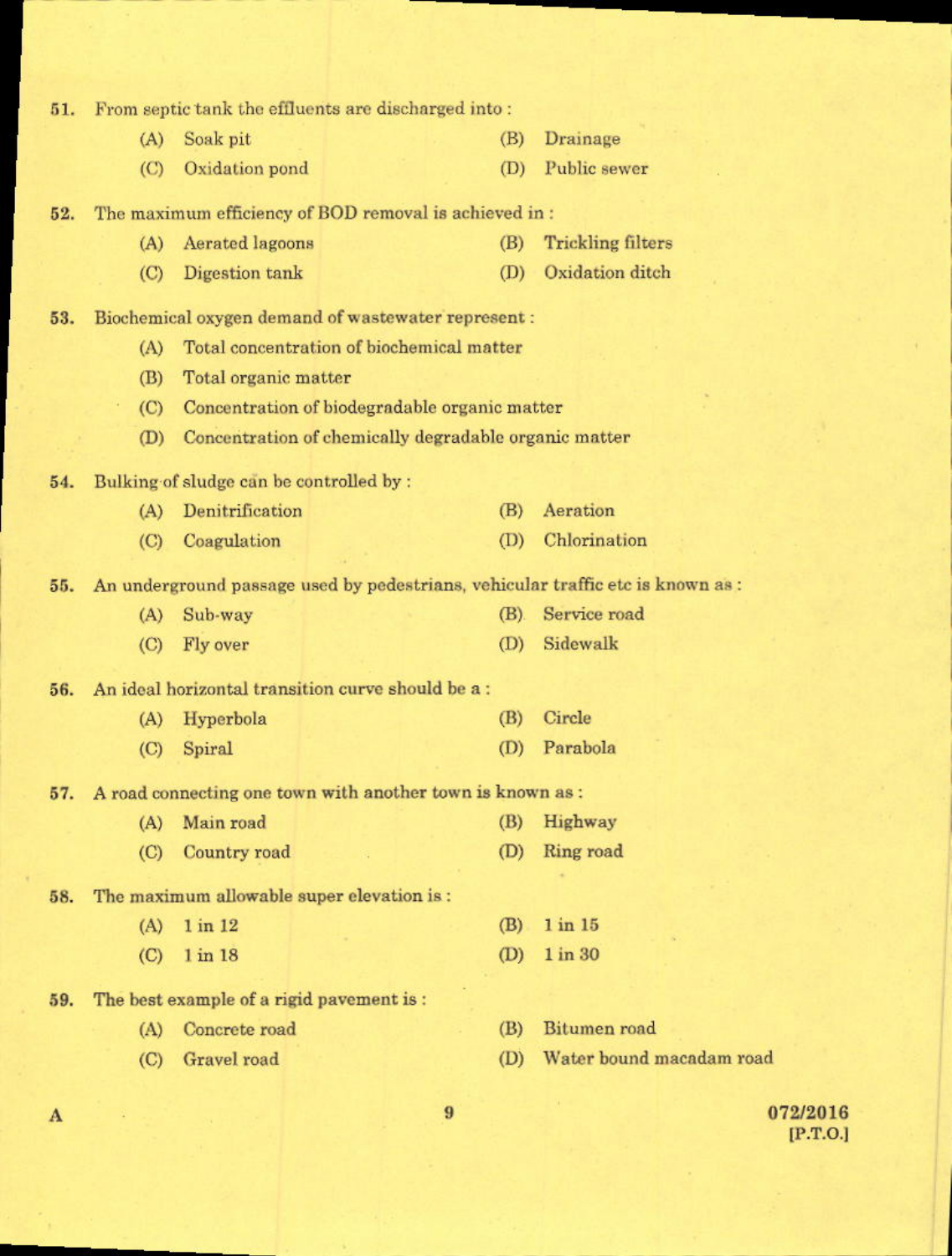| 51. |             |                                                        | From septic tank the effluents are discharged into:                             |                          |
|-----|-------------|--------------------------------------------------------|---------------------------------------------------------------------------------|--------------------------|
|     | (A)         | Soak pit                                               | (B)                                                                             | Drainage                 |
|     | $\left($ C) | Oxidation pond                                         | (D)                                                                             | Public sewer             |
| 52. |             | The maximum efficiency of BOD removal is achieved in : |                                                                                 |                          |
|     | (A)         | Aerated lagoons                                        | (B)                                                                             | <b>Trickling filters</b> |
|     | (C)         | Digestion tank                                         | (D)                                                                             | Oxidation ditch          |
| 53. |             |                                                        | Biochemical oxygen demand of wastewater represent :                             |                          |
|     | (A)         |                                                        | Total concentration of biochemical matter                                       |                          |
|     | (B)         | Total organic matter                                   |                                                                                 |                          |
|     | (C)         |                                                        | Concentration of biodegradable organic matter                                   |                          |
|     | (D)         |                                                        | Concentration of chemically degradable organic matter                           |                          |
| 54. |             | Bulking of sludge can be controlled by :               |                                                                                 |                          |
|     | (A)         | Denitrification                                        | (B)                                                                             | Aeration                 |
|     | (C)         | Coagulation                                            | (D)                                                                             | Chlorination             |
| 55. |             |                                                        | An underground passage used by pedestrians, vehicular traffic etc is known as : |                          |
|     | (A)         | Sub-way                                                | (B)                                                                             | Service road             |
|     | $\left($ C) | Fly over                                               | (D)                                                                             | Sidewalk                 |
| 56. |             |                                                        | An ideal horizontal transition curve should be a:                               |                          |
|     | (A)         | Hyperbola                                              | (B)                                                                             | Circle                   |
|     | $\rm (C)$   | Spiral                                                 | (D)                                                                             | Parabola                 |
| 57. |             |                                                        | A road connecting one town with another town is known as :                      |                          |
|     | (A)         | Main road                                              | (B)                                                                             | Highway                  |
|     | (C)         | Country road                                           | (D)                                                                             | Ring road                |
| 58. |             |                                                        | The maximum allowable super elevation is:                                       |                          |
|     | (A)         | 1 in 12                                                | (B)                                                                             | 1 in 15                  |
|     | $\left($ C) | $1$ in $18$                                            | (D)                                                                             | 1 in 30                  |
| 59. |             | The best example of a rigid pavement is :              |                                                                                 |                          |
|     | (A)         | Concrete road                                          | (B)                                                                             | Bitumen road             |
|     | (C)         | Gravel road                                            | (D)                                                                             | Water bound macadam road |
|     |             |                                                        |                                                                                 |                          |

072/2016  $[P.T.O.]$ 

 $\boldsymbol{9}$ 

 $\mathbf A$ 

d.